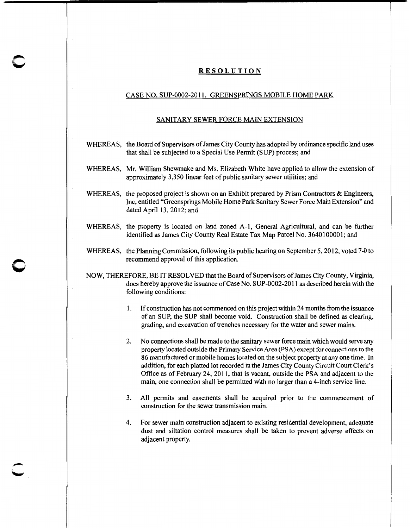## **RESOLUTION**

**c** 

**0** 

## CASE NO. SUP-0002-20II. GREENSPRINGS MOBILE HOME PARK

## SANITARY SEWER FORCE MAIN EXTENSION

- WHEREAS, the Board of Supervisors of James City County has adopted by ordinance specific land uses that shall be subjected to a Special Use Permit (SUP) process; and
- WHEREAS, Mr. William Shewmake and Ms. Elizabeth White have applied to allow the extension of approximately 3,350 linear feet of public sanitary sewer utilities; and
- WHEREAS, the proposed project is shown on an Exhibit prepared by Prism Contractors & Engineers, Inc, entitled "Greensprings Mobile Home Park Sanitary Sewer Force Main Extension" and dated April I3, 20I2; and
- WHEREAS, the property is located on land zoned A-I, General Agricultural, and can be further identified as James City County Real Estate Tax Map Parcel No. 3640100001; and
- WHEREAS, the Planning Commission, following its public hearing on September 5, 2012, voted 7-0 to recommend approval of this application.
- NOW, THEREFORE, BE IT RESOLVED that the Board of Supervisors of James City County, Virginia, does hereby approve the issuance of Case No. SUP-0002-20II as described herein with the following conditions:
	- I. If construction has not commenced on this project within 24 months from the issuance of an SUP, the SUP shall become void. Construction shall be defined as clearing, grading, and excavation of trenches necessary for the water and sewer mains.
	- 2. No connections shall be made to the sanitary sewer force main which would serve any property located outside the Primary Service Area (PSA) except for connections to the 86 manufactured or mobile homes located on the subject property at any one time. In addition, for each platted lot recorded in the James City County Circuit Court Clerk's Office as of February 24, 201I, that is vacant, outside the PSA and adjacent to the main, one connection shall be permitted with no larger than a 4-inch service line.
	- 3. All permits and easements shall be acquired prior to the commencement of construction for the sewer transmission main.
	- 4. For sewer main construction adjacent to existing residential development, adequate dust and siltation control measures shall be taken to prevent adverse effects on adjacent property.